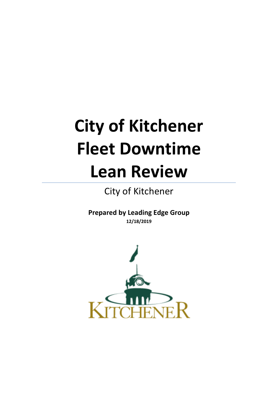# **City of Kitchener Fleet Downtime Lean Review**

City of Kitchener

**Prepared by Leading Edge Group 12/18/2019**

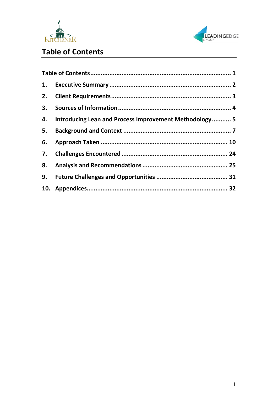



# <span id="page-1-0"></span>**Table of Contents**

| 2. |                                                        |  |
|----|--------------------------------------------------------|--|
|    |                                                        |  |
| 4. | Introducing Lean and Process Improvement Methodology 5 |  |
| 5. |                                                        |  |
| 6. |                                                        |  |
| 7. |                                                        |  |
|    |                                                        |  |
| 9. |                                                        |  |
|    |                                                        |  |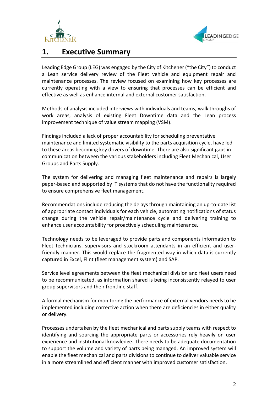



# <span id="page-2-0"></span>**1. Executive Summary**

Leading Edge Group (LEG) was engaged by the City of Kitchener ("the City") to conduct a Lean service delivery review of the Fleet vehicle and equipment repair and maintenance processes. The review focused on examining how key processes are currently operating with a view to ensuring that processes can be efficient and effective as well as enhance internal and external customer satisfaction.

Methods of analysis included interviews with individuals and teams, walk throughs of work areas, analysis of existing Fleet Downtime data and the Lean process improvement technique of value stream mapping (VSM).

Findings included a lack of proper accountability for scheduling preventative maintenance and limited systematic visibility to the parts acquisition cycle, have led to these areas becoming key drivers of downtime. There are also significant gaps in communication between the various stakeholders including Fleet Mechanical, User Groups and Parts Supply.

The system for delivering and managing fleet maintenance and repairs is largely paper-based and supported by IT systems that do not have the functionality required to ensure comprehensive fleet management.

Recommendations include reducing the delays through maintaining an up-to-date list of appropriate contact individuals for each vehicle, automating notifications of status change during the vehicle repair/maintenance cycle and delivering training to enhance user accountability for proactively scheduling maintenance.

Technology needs to be leveraged to provide parts and components information to Fleet technicians, supervisors and stockroom attendants in an efficient and userfriendly manner. This would replace the fragmented way in which data is currently captured in Excel, Flint (fleet management system) and SAP.

Service level agreements between the fleet mechanical division and fleet users need to be recommunicated, as information shared is being inconsistently relayed to user group supervisors and their frontline staff.

A formal mechanism for monitoring the performance of external vendors needs to be implemented including corrective action when there are deficiencies in either quality or delivery.

Processes undertaken by the fleet mechanical and parts supply teams with respect to identifying and sourcing the appropriate parts or accessories rely heavily on user experience and institutional knowledge. There needs to be adequate documentation to support the volume and variety of parts being managed. An improved system will enable the fleet mechanical and parts divisions to continue to deliver valuable service in a more streamlined and efficient manner with improved customer satisfaction.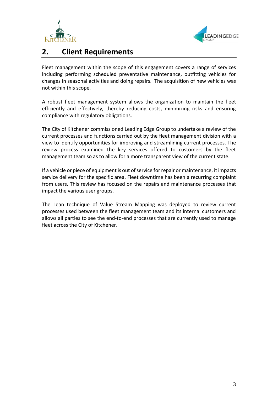



# <span id="page-3-0"></span>**2. Client Requirements**

Fleet management within the scope of this engagement covers a range of services including performing scheduled preventative maintenance, outfitting vehicles for changes in seasonal activities and doing repairs. The acquisition of new vehicles was not within this scope.

A robust fleet management system allows the organization to maintain the fleet efficiently and effectively, thereby reducing costs, minimizing risks and ensuring compliance with regulatory obligations.

The City of Kitchener commissioned Leading Edge Group to undertake a review of the current processes and functions carried out by the fleet management division with a view to identify opportunities for improving and streamlining current processes. The review process examined the key services offered to customers by the fleet management team so as to allow for a more transparent view of the current state.

If a vehicle or piece of equipment is out of service for repair or maintenance, it impacts service delivery for the specific area. Fleet downtime has been a recurring complaint from users. This review has focused on the repairs and maintenance processes that impact the various user groups.

The Lean technique of Value Stream Mapping was deployed to review current processes used between the fleet management team and its internal customers and allows all parties to see the end-to-end processes that are currently used to manage fleet across the City of Kitchener.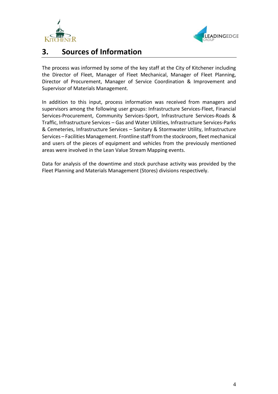



# <span id="page-4-0"></span>**3. Sources of Information**

The process was informed by some of the key staff at the City of Kitchener including the Director of Fleet, Manager of Fleet Mechanical, Manager of Fleet Planning, Director of Procurement, Manager of Service Coordination & Improvement and Supervisor of Materials Management.

In addition to this input, process information was received from managers and supervisors among the following user groups: Infrastructure Services-Fleet, Financial Services-Procurement, Community Services-Sport, Infrastructure Services-Roads & Traffic, Infrastructure Services – Gas and Water Utilities, Infrastructure Services-Parks & Cemeteries, Infrastructure Services – Sanitary & Stormwater Utility, Infrastructure Services – Facilities Management. Frontline staff from the stockroom, fleet mechanical and users of the pieces of equipment and vehicles from the previously mentioned areas were involved in the Lean Value Stream Mapping events.

Data for analysis of the downtime and stock purchase activity was provided by the Fleet Planning and Materials Management (Stores) divisions respectively.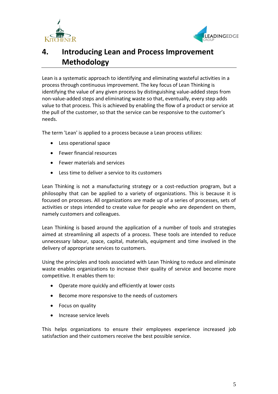



# <span id="page-5-0"></span>**4. Introducing Lean and Process Improvement Methodology**

Lean is a systematic approach to identifying and eliminating wasteful activities in a process through continuous improvement. The key focus of Lean Thinking is identifying the value of any given process by distinguishing value-added steps from non-value-added steps and eliminating waste so that, eventually, every step adds value to that process. This is achieved by enabling the flow of a product or service at the pull of the customer, so that the service can be responsive to the customer's needs.

The term 'Lean' is applied to a process because a Lean process utilizes:

- Less operational space
- Fewer financial resources
- Fewer materials and services
- Less time to deliver a service to its customers

Lean Thinking is not a manufacturing strategy or a cost-reduction program, but a philosophy that can be applied to a variety of organizations. This is because it is focused on processes. All organizations are made up of a series of processes, sets of activities or steps intended to create value for people who are dependent on them, namely customers and colleagues.

Lean Thinking is based around the application of a number of tools and strategies aimed at streamlining all aspects of a process. These tools are intended to reduce unnecessary labour, space, capital, materials, equipment and time involved in the delivery of appropriate services to customers.

Using the principles and tools associated with Lean Thinking to reduce and eliminate waste enables organizations to increase their quality of service and become more competitive. It enables them to:

- Operate more quickly and efficiently at lower costs
- Become more responsive to the needs of customers
- Focus on quality
- Increase service levels

This helps organizations to ensure their employees experience increased job satisfaction and their customers receive the best possible service.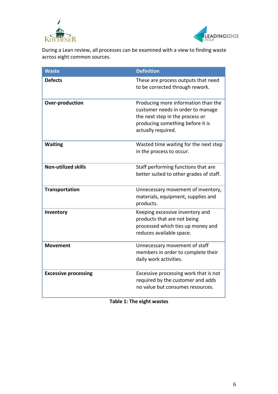



During a Lean review, all processes can be examined with a view to finding waste across eight common sources.

| <b>Waste</b>                | <b>Definition</b>                                                                                                                                                     |
|-----------------------------|-----------------------------------------------------------------------------------------------------------------------------------------------------------------------|
| <b>Defects</b>              | These are process outputs that need<br>to be corrected through rework.                                                                                                |
| <b>Over-production</b>      | Producing more information than the<br>customer needs in order to manage<br>the next step in the process or<br>producing something before it is<br>actually required. |
| <b>Waiting</b>              | Wasted time waiting for the next step<br>in the process to occur.                                                                                                     |
| <b>Non-utilized skills</b>  | Staff performing functions that are<br>better suited to other grades of staff.                                                                                        |
| <b>Transportation</b>       | Unnecessary movement of inventory,<br>materials, equipment, supplies and<br>products.                                                                                 |
| Inventory                   | Keeping excessive inventory and<br>products that are not being<br>processed which ties up money and<br>reduces available space.                                       |
| <b>Movement</b>             | Unnecessary movement of staff<br>members in order to complete their<br>daily work activities.                                                                         |
| <b>Excessive processing</b> | Excessive processing work that is not<br>required by the customer and adds<br>no value but consumes resources.                                                        |

**Table 1: The eight wastes**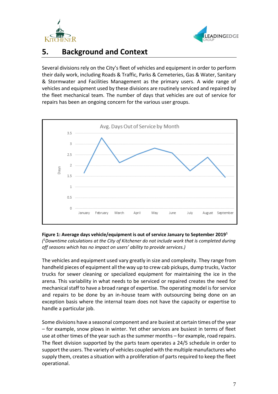



# <span id="page-7-0"></span>**5. Background and Context**

Several divisions rely on the City's fleet of vehicles and equipment in order to perform their daily work, including Roads & Traffic, Parks & Cemeteries, Gas & Water, Sanitary & Stormwater and Facilities Management as the primary users. A wide range of vehicles and equipment used by these divisions are routinely serviced and repaired by the fleet mechanical team. The number of days that vehicles are out of service for repairs has been an ongoing concern for the various user groups.





The vehicles and equipment used vary greatly in size and complexity. They range from handheld pieces of equipment all the way up to crew cab pickups, dump trucks, Vactor trucks for sewer cleaning or specialized equipment for maintaining the ice in the arena. This variability in what needs to be serviced or repaired creates the need for mechanical staff to have a broad range of expertise. The operating model is for service and repairs to be done by an in-house team with outsourcing being done on an exception basis where the internal team does not have the capacity or expertise to handle a particular job.

Some divisions have a seasonal component and are busiest at certain times of the year – for example, snow plows in winter. Yet other services are busiest in terms of fleet use at other times of the year such as the summer months – for example, road repairs. The fleet division supported by the parts team operates a 24/5 schedule in order to support the users. The variety of vehicles coupled with the multiple manufactures who supply them, creates a situation with a proliferation of parts required to keep the fleet operational.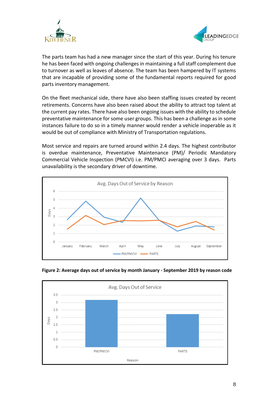



The parts team has had a new manager since the start of this year. During his tenure he has been faced with ongoing challenges in maintaining a full staff complement due to turnover as well as leaves of absence. The team has been hampered by IT systems that are incapable of providing some of the fundamental reports required for good parts inventory management.

On the fleet mechanical side, there have also been staffing issues created by recent retirements. Concerns have also been raised about the ability to attract top talent at the current pay rates. There have also been ongoing issues with the ability to schedule preventative maintenance for some user groups. This has been a challenge as in some instances failure to do so in a timely manner would render a vehicle inoperable as it would be out of compliance with Ministry of Transportation regulations.

Most service and repairs are turned around within 2.4 days. The highest contributor is overdue maintenance, Preventative Maintenance (PM)/ Periodic Mandatory Commercial Vehicle Inspection (PMCVI) i.e. PM/PMCI averaging over 3 days. Parts unavailability is the secondary driver of downtime.





**Figure 2: Average days out of service by month January - September 2019 by reason code**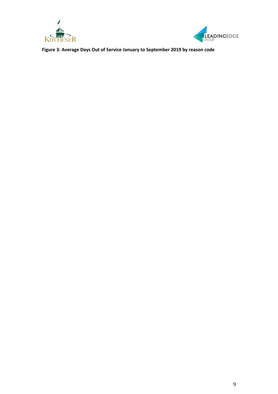



**Figure 3: Average Days Out of Service January to September 2019 by reason code**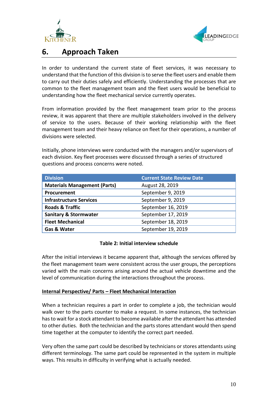



# <span id="page-10-0"></span>**6. Approach Taken**

In order to understand the current state of fleet services, it was necessary to understand that the function of this division is to serve the fleet users and enable them to carry out their duties safely and efficiently. Understanding the processes that are common to the fleet management team and the fleet users would be beneficial to understanding how the fleet mechanical service currently operates.

From information provided by the fleet management team prior to the process review, it was apparent that there are multiple stakeholders involved in the delivery of service to the users. Because of their working relationship with the fleet management team and their heavy reliance on fleet for their operations, a number of divisions were selected.

Initially, phone interviews were conducted with the managers and/or supervisors of each division. Key fleet processes were discussed through a series of structured questions and process concerns were noted.

| <b>Division</b>                     | <b>Current State Review Date</b> |
|-------------------------------------|----------------------------------|
| <b>Materials Management (Parts)</b> | August 28, 2019                  |
| Procurement                         | September 9, 2019                |
| <b>Infrastructure Services</b>      | September 9, 2019                |
| <b>Roads &amp; Traffic</b>          | September 16, 2019               |
| <b>Sanitary &amp; Stormwater</b>    | September 17, 2019               |
| <b>Fleet Mechanical</b>             | September 18, 2019               |
| Gas & Water                         | September 19, 2019               |

# **Table 2: Initial interview schedule**

After the initial interviews it became apparent that, although the services offered by the fleet management team were consistent across the user groups, the perceptions varied with the main concerns arising around the actual vehicle downtime and the level of communication during the interactions throughout the process.

## **Internal Perspective/ Parts – Fleet Mechanical Interaction**

When a technician requires a part in order to complete a job, the technician would walk over to the parts counter to make a request. In some instances, the technician has to wait for a stock attendant to become available after the attendant has attended to other duties. Both the technician and the parts stores attendant would then spend time together at the computer to identify the correct part needed.

Very often the same part could be described by technicians or stores attendants using different terminology. The same part could be represented in the system in multiple ways. This results in difficulty in verifying what is actually needed.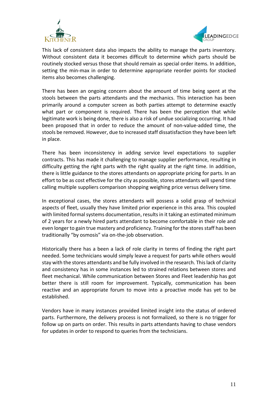



This lack of consistent data also impacts the ability to manage the parts inventory. Without consistent data it becomes difficult to determine which parts should be routinely stocked versus those that should remain as special order items. In addition, setting the min-max in order to determine appropriate reorder points for stocked items also becomes challenging.

There has been an ongoing concern about the amount of time being spent at the stools between the parts attendants and the mechanics. This interaction has been primarily around a computer screen as both parties attempt to determine exactly what part or component is required. There has been the perception that while legitimate work is being done, there is also a risk of undue socializing occurring. It had been proposed that in order to reduce the amount of non-value-added time, the stools be removed. However, due to increased staff dissatisfaction they have been left in place.

There has been inconsistency in adding service level expectations to supplier contracts. This has made it challenging to manage supplier performance, resulting in difficulty getting the right parts with the right quality at the right time. In addition, there is little guidance to the stores attendants on appropriate pricing for parts. In an effort to be as cost effective for the city as possible, stores attendants will spend time calling multiple suppliers comparison shopping weighing price versus delivery time.

In exceptional cases, the stores attendants will possess a solid grasp of technical aspects of fleet, usually they have limited prior experience in this area. This coupled with limited formal systems documentation, results in it taking an estimated minimum of 2 years for a newly hired parts attendant to become comfortable in their role and even longer to gain true mastery and proficiency. Training for the stores staff has been traditionally "by osmosis" via on-the-job observation.

Historically there has a been a lack of role clarity in terms of finding the right part needed. Some technicians would simply leave a request for parts while others would stay with the stores attendants and be fully involved in the research. This lack of clarity and consistency has in some instances led to strained relations between stores and fleet mechanical. While communication between Stores and Fleet leadership has got better there is still room for improvement. Typically, communication has been reactive and an appropriate forum to move into a proactive mode has yet to be established.

Vendors have in many instances provided limited insight into the status of ordered parts. Furthermore, the delivery process is not formalized, so there is no trigger for follow up on parts on order. This results in parts attendants having to chase vendors for updates in order to respond to queries from the technicians.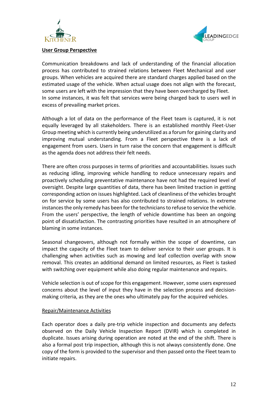



#### **User Group Perspective**

Communication breakdowns and lack of understanding of the financial allocation process has contributed to strained relations between Fleet Mechanical and user groups. When vehicles are acquired there are standard charges applied based on the estimated usage of the vehicle. When actual usage does not align with the forecast, some users are left with the impression that they have been overcharged by Fleet. In some instances, it was felt that services were being charged back to users well in excess of prevailing market prices.

Although a lot of data on the performance of the Fleet team is captured, it is not equally leveraged by all stakeholders. There is an established monthly Fleet-User Group meeting which is currently being underutilized as a forum for gaining clarity and improving mutual understanding. From a Fleet perspective there is a lack of engagement from users. Users in turn raise the concern that engagement is difficult as the agenda does not address their felt needs.

There are often cross purposes in terms of priorities and accountabilities. Issues such as reducing idling, improving vehicle handling to reduce unnecessary repairs and proactively scheduling preventative maintenance have not had the required level of oversight. Despite large quantities of data, there has been limited traction in getting corresponding action on issues highlighted. Lack of cleanliness of the vehicles brought on for service by some users has also contributed to strained relations. In extreme instances the only remedy has been for the technicians to refuse to service the vehicle. From the users' perspective, the length of vehicle downtime has been an ongoing point of dissatisfaction. The contrasting priorities have resulted in an atmosphere of blaming in some instances.

Seasonal changeovers, although not formally within the scope of downtime, can impact the capacity of the Fleet team to deliver service to their user groups. It is challenging when activities such as mowing and leaf collection overlap with snow removal. This creates an additional demand on limited resources, as Fleet is tasked with switching over equipment while also doing regular maintenance and repairs.

Vehicle selection is out of scope for this engagement. However, some users expressed concerns about the level of input they have in the selection process and decisionmaking criteria, as they are the ones who ultimately pay for the acquired vehicles.

## Repair/Maintenance Activities

Each operator does a daily pre-trip vehicle inspection and documents any defects observed on the Daily Vehicle Inspection Report (DVIR) which is completed in duplicate. Issues arising during operation are noted at the end of the shift. There is also a formal post trip inspection, although this is not always consistently done. One copy of the form is provided to the supervisor and then passed onto the Fleet team to initiate repairs.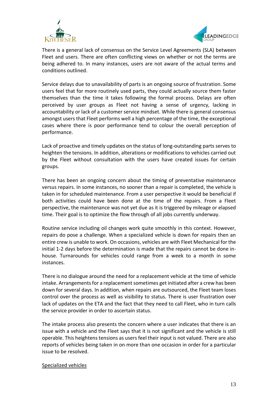



There is a general lack of consensus on the Service Level Agreements (SLA) between Fleet and users. There are often conflicting views on whether or not the terms are being adhered to. In many instances, users are not aware of the actual terms and conditions outlined.

Service delays due to unavailability of parts is an ongoing source of frustration. Some users feel that for more routinely used parts, they could actually source them faster themselves than the time it takes following the formal process. Delays are often perceived by user groups as Fleet not having a sense of urgency, lacking in accountability or lack of a customer service mindset. While there is general consensus amongst users that Fleet performs well a high percentage of the time, the exceptional cases where there is poor performance tend to colour the overall perception of performance.

Lack of proactive and timely updates on the status of long-outstanding parts serves to heighten the tensions. In addition, alterations or modifications to vehicles carried out by the Fleet without consultation with the users have created issues for certain groups.

There has been an ongoing concern about the timing of preventative maintenance versus repairs. In some instances, no sooner than a repair is completed, the vehicle is taken in for scheduled maintenance. From a user perspective it would be beneficial if both activities could have been done at the time of the repairs. From a Fleet perspective, the maintenance was not yet due as it is triggered by mileage or elapsed time. Their goal is to optimize the flow through of all jobs currently underway.

Routine service including oil changes work quite smoothly in this context. However, repairs do pose a challenge. When a specialized vehicle is down for repairs then an entire crew is unable to work. On occasions, vehicles are with Fleet Mechanical for the initial 1-2 days before the determination is made that the repairs cannot be done inhouse. Turnarounds for vehicles could range from a week to a month in some instances.

There is no dialogue around the need for a replacement vehicle at the time of vehicle intake. Arrangements for a replacement sometimes get initiated after a crew has been down for several days. In addition, when repairs are outsourced, the Fleet team loses control over the process as well as visibility to status. There is user frustration over lack of updates on the ETA and the fact that they need to call Fleet, who in turn calls the service provider in order to ascertain status.

The intake process also presents the concern where a user indicates that there is an issue with a vehicle and the Fleet says that it is not significant and the vehicle is still operable. This heightens tensions as users feel their input is not valued. There are also reports of vehicles being taken in on more than one occasion in order for a particular issue to be resolved.

## Specialized vehicles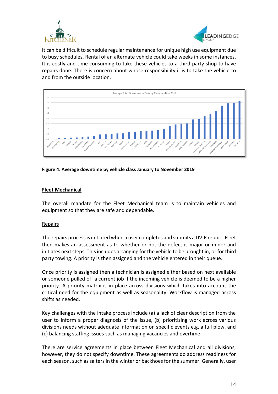



It can be difficult to schedule regular maintenance for unique high use equipment due to busy schedules. Rental of an alternate vehicle could take weeks in some instances. It is costly and time consuming to take these vehicles to a third-party shop to have repairs done. There is concern about whose responsibility it is to take the vehicle to and from the outside location.



# **Figure 4: Average downtime by vehicle class January to November 2019**

# **Fleet Mechanical**

The overall mandate for the Fleet Mechanical team is to maintain vehicles and equipment so that they are safe and dependable.

## Repairs

The repairs process is initiated when a user completes and submits a DVIR report. Fleet then makes an assessment as to whether or not the defect is major or minor and initiates next steps. This includes arranging for the vehicle to be brought in, or for third party towing. A priority is then assigned and the vehicle entered in their queue.

Once priority is assigned then a technician is assigned either based on next available or someone pulled off a current job if the incoming vehicle is deemed to be a higher priority. A priority matrix is in place across divisions which takes into account the critical need for the equipment as well as seasonality. Workflow is managed across shifts as needed.

Key challenges with the intake process include (a) a lack of clear description from the user to inform a proper diagnosis of the issue, (b) prioritizing work across various divisions needs without adequate information on specific events e.g. a full plow, and (c) balancing staffing issues such as managing vacancies and overtime.

There are service agreements in place between Fleet Mechanical and all divisions, however, they do not specify downtime. These agreements do address readiness for each season, such as salters in the winter or backhoes for the summer. Generally, user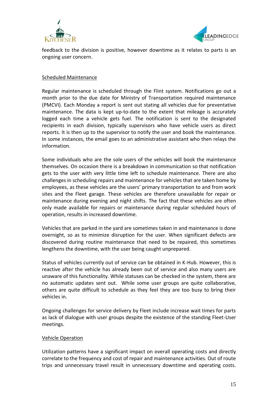



feedback to the division is positive, however downtime as it relates to parts is an ongoing user concern.

#### Scheduled Maintenance

Regular maintenance is scheduled through the Flint system. Notifications go out a month prior to the due date for Ministry of Transportation required maintenance (PMCVI). Each Monday a report is sent out stating all vehicles due for preventative maintenance. The data is kept up-to-date to the extent that mileage is accurately logged each time a vehicle gets fuel. The notification is sent to the designated recipients in each division, typically supervisors who have vehicle users as direct reports. It is then up to the supervisor to notify the user and book the maintenance. In some instances, the email goes to an administrative assistant who then relays the information.

Some individuals who are the sole users of the vehicles will book the maintenance themselves. On occasion there is a breakdown in communication so that notification gets to the user with very little time left to schedule maintenance. There are also challenges in scheduling repairs and maintenance for vehicles that are taken home by employees, as these vehicles are the users' primary transportation to and from work sites and the Fleet garage. These vehicles are therefore unavailable for repair or maintenance during evening and night shifts. The fact that these vehicles are often only made available for repairs or maintenance during regular scheduled hours of operation, results in increased downtime.

Vehicles that are parked in the yard are sometimes taken in and maintenance is done overnight, so as to minimize disruption for the user. When significant defects are discovered during routine maintenance that need to be repaired, this sometimes lengthens the downtime, with the user being caught unprepared.

Status of vehicles currently out of service can be obtained in K-Hub. However, this is reactive after the vehicle has already been out of service and also many users are unaware of this functionality. While statuses can be checked in the system, there are no automatic updates sent out. While some user groups are quite collaborative, others are quite difficult to schedule as they feel they are too busy to bring their vehicles in.

Ongoing challenges for service delivery by Fleet include increase wait times for parts as lack of dialogue with user groups despite the existence of the standing Fleet-User meetings.

## Vehicle Operation

Utilization patterns have a significant impact on overall operating costs and directly correlate to the frequency and cost of repair and maintenance activities. Out of route trips and unnecessary travel result in unnecessary downtime and operating costs.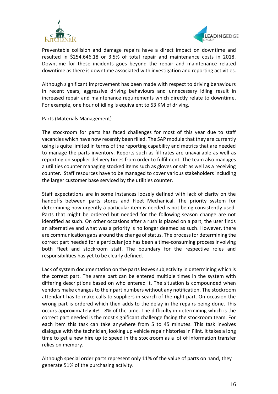



Preventable collision and damage repairs have a direct impact on downtime and resulted in \$254,646.18 or 3.5% of total repair and maintenance costs in 2018. Downtime for these incidents goes beyond the repair and maintenance related downtime as there is downtime associated with investigation and reporting activities.

Although significant improvement has been made with respect to driving behaviours in recent years, aggressive driving behaviours and unnecessary idling result in increased repair and maintenance requirements which directly relate to downtime. For example, one hour of idling is equivalent to 53 KM of driving.

## Parts (Materials Management)

The stockroom for parts has faced challenges for most of this year due to staff vacancies which have now recently been filled. The SAP module that they are currently using is quite limited in terms of the reporting capability and metrics that are needed to manage the parts inventory. Reports such as fill rates are unavailable as well as reporting on supplier delivery times from order to fulfilment. The team also manages a utilities counter managing stocked items such as gloves or salt as well as a receiving counter. Staff resources have to be managed to cover various stakeholders including the larger customer base serviced by the utilities counter.

Staff expectations are in some instances loosely defined with lack of clarity on the handoffs between parts stores and Fleet Mechanical. The priority system for determining how urgently a particular item is needed is not being consistently used. Parts that might be ordered but needed for the following season change are not identified as such. On other occasions after a rush is placed on a part, the user finds an alternative and what was a priority is no longer deemed as such. However, there are communication gaps around the change of status. The process for determining the correct part needed for a particular job has been a time-consuming process involving both Fleet and stockroom staff. The boundary for the respective roles and responsibilities has yet to be clearly defined.

Lack of system documentation on the parts leaves subjectivity in determining which is the correct part. The same part can be entered multiple times in the system with differing descriptions based on who entered it. The situation is compounded when vendors make changes to their part numbers without any notification. The stockroom attendant has to make calls to suppliers in search of the right part. On occasion the wrong part is ordered which then adds to the delay in the repairs being done. This occurs approximately 4% - 8% of the time. The difficulty in determining which is the correct part needed is the most significant challenge facing the stockroom team. For each item this task can take anywhere from 5 to 45 minutes. This task involves dialogue with the technician, looking up vehicle repair histories in Flint. It takes a long time to get a new hire up to speed in the stockroom as a lot of information transfer relies on memory.

Although special order parts represent only 11% of the value of parts on hand, they generate 51% of the purchasing activity.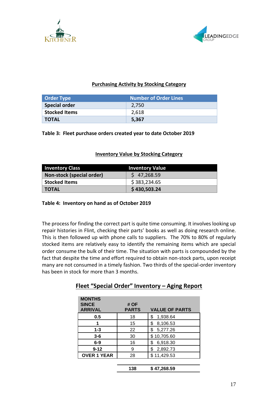



# **Purchasing Activity by Stocking Category**

| <b>Order Type</b>    | <b>Number of Order Lines</b> |
|----------------------|------------------------------|
| <b>Special order</b> | 2.750                        |
| <b>Stocked Items</b> | 2,618                        |
| <b>TOTAL</b>         | 5,367                        |

**Table 3: Fleet purchase orders created year to date October 2019**

# **Inventory Value by Stocking Category**

| <b>Inventory Class</b>    | <b>Inventory Value</b> |  |  |
|---------------------------|------------------------|--|--|
| Non-stock (special order) | \$47,268.59            |  |  |
| <b>Stocked Items</b>      | \$383,234.65           |  |  |
| <b>TOTAL</b>              | \$430,503.24           |  |  |

## **Table 4: Inventory on hand as of October 2019**

The process for finding the correct part is quite time consuming. It involves looking up repair histories in Flint, checking their parts' books as well as doing research online. This is then followed up with phone calls to suppliers. The 70% to 80% of regularly stocked items are relatively easy to identify the remaining items which are special order consume the bulk of their time. The situation with parts is compounded by the fact that despite the time and effort required to obtain non-stock parts, upon receipt many are not consumed in a timely fashion. Two thirds of the special-order inventory has been in stock for more than 3 months.

| <b>MONTHS</b><br><b>SINCE</b><br><b>ARRIVAL</b> | # OF<br><b>PARTS</b> | <b>VALUE OF PARTS</b> |
|-------------------------------------------------|----------------------|-----------------------|
| 0.5                                             | 18                   | 1,938.64<br>S         |
|                                                 | 15                   | 8,106.53<br>\$        |
| $1 - 3$                                         | 22                   | 5,277.26<br>\$        |
| $3 - 6$                                         | 30                   | \$10,705.60           |
| $6-9$                                           | 16                   | 6,918.30<br>\$        |
| $9 - 12$                                        | 9                    | 2,892.73<br>\$        |
| <b>OVER 1 YEAR</b>                              | 28                   | \$11,429.53           |
|                                                 |                      |                       |

# **Fleet "Special Order" Inventory – Aging Report**

**<sup>138</sup> \$ 47,268.59**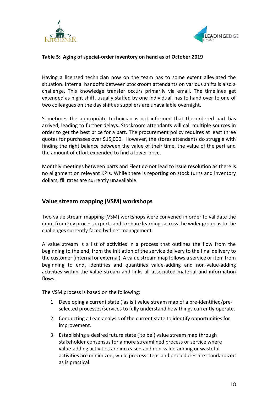



# **Table 5: Aging of special-order inventory on hand as of October 2019**

Having a licensed technician now on the team has to some extent alleviated the situation. Internal handoffs between stockroom attendants on various shifts is also a challenge. This knowledge transfer occurs primarily via email. The timelines get extended as night shift, usually staffed by one individual, has to hand over to one of two colleagues on the day shift as suppliers are unavailable overnight.

Sometimes the appropriate technician is not informed that the ordered part has arrived, leading to further delays. Stockroom attendants will call multiple sources in order to get the best price for a part. The procurement policy requires at least three quotes for purchases over \$15,000. However, the stores attendants do struggle with finding the right balance between the value of their time, the value of the part and the amount of effort expended to find a lower price.

Monthly meetings between parts and Fleet do not lead to issue resolution as there is no alignment on relevant KPIs. While there is reporting on stock turns and inventory dollars, fill rates are currently unavailable.

# **Value stream mapping (VSM) workshops**

Two value stream mapping (VSM) workshops were convened in order to validate the input from key process experts and to share learnings across the wider group as to the challenges currently faced by fleet management.

A value stream is a list of activities in a process that outlines the flow from the beginning to the end, from the initiation of the service delivery to the final delivery to the customer (internal or external). A value stream map follows a service or item from beginning to end, identifies and quantifies value-adding and non-value-adding activities within the value stream and links all associated material and information flows.

The VSM process is based on the following:

- 1. Developing a current state ('as is') value stream map of a pre-identified/preselected processes/services to fully understand how things currently operate.
- 2. Conducting a Lean analysis of the current state to identify opportunities for improvement.
- 3. Establishing a desired future state ('to be') value stream map through stakeholder consensus for a more streamlined process or service where value-adding activities are increased and non-value-adding or wasteful activities are minimized, while process steps and procedures are standardized as is practical.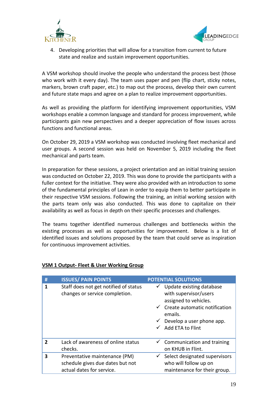



4. Developing priorities that will allow for a transition from current to future state and realize and sustain improvement opportunities.

A VSM workshop should involve the people who understand the process best (those who work with it every day). The team uses paper and pen (flip chart, sticky notes, markers, brown craft paper, etc.) to map out the process, develop their own current and future state maps and agree on a plan to realize improvement opportunities.

As well as providing the platform for identifying improvement opportunities, VSM workshops enable a common language and standard for process improvement, while participants gain new perspectives and a deeper appreciation of flow issues across functions and functional areas.

On October 29, 2019 a VSM workshop was conducted involving fleet mechanical and user groups. A second session was held on November 5, 2019 including the fleet mechanical and parts team.

In preparation for these sessions, a project orientation and an initial training session was conducted on October 22, 2019. This was done to provide the participants with a fuller context for the initiative. They were also provided with an introduction to some of the fundamental principles of Lean in order to equip them to better participate in their respective VSM sessions. Following the training, an initial working session with the parts team only was also conducted. This was done to capitalize on their availability as well as focus in depth on their specific processes and challenges.

The teams together identified numerous challenges and bottlenecks within the existing processes as well as opportunities for improvement. Below is a list of identified issues and solutions proposed by the team that could serve as inspiration for continuous improvement activities.

| #            | <b>ISSUES/ PAIN POINTS</b>                                                                     | <b>POTENTIAL SOLUTIONS</b>                                                                                                                                                                                        |
|--------------|------------------------------------------------------------------------------------------------|-------------------------------------------------------------------------------------------------------------------------------------------------------------------------------------------------------------------|
| 1            | Staff does not get notified of status<br>changes or service completion.                        | Update existing database<br>$\checkmark$<br>with supervisor/users<br>assigned to vehicles.<br>$\checkmark$ Create automatic notification<br>emails.<br>$\checkmark$ Develop a user phone app.<br>Add ETA to Flint |
| $\mathbf{z}$ | Lack of awareness of online status<br>checks.                                                  | $\checkmark$ Communication and training<br>on KHUB in Flint.                                                                                                                                                      |
| 3            | Preventative maintenance (PM)<br>schedule gives due dates but not<br>actual dates for service. | Select designated supervisors<br>who will follow up on<br>maintenance for their group.                                                                                                                            |

# **VSM 1 Output- Fleet & User Working Group**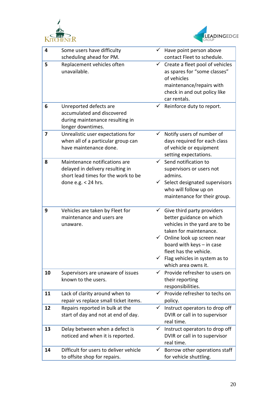



| 4  | Some users have difficulty<br>scheduling ahead for PM.                                                                            | $\checkmark$ | Have point person above<br>contact Fleet to schedule.                                                                                                                                                                                                                                     |
|----|-----------------------------------------------------------------------------------------------------------------------------------|--------------|-------------------------------------------------------------------------------------------------------------------------------------------------------------------------------------------------------------------------------------------------------------------------------------------|
| 5  | Replacement vehicles often<br>unavailable.                                                                                        |              | $\checkmark$ Create a fleet pool of vehicles<br>as spares for "some classes"<br>of vehicles<br>maintenance/repairs with<br>check in and out policy like<br>car rentals.                                                                                                                   |
| 6  | Unreported defects are<br>accumulated and discovered<br>during maintenance resulting in<br>longer downtimes.                      | $\checkmark$ | Reinforce duty to report.                                                                                                                                                                                                                                                                 |
| 7  | Unrealistic user expectations for<br>when all of a particular group can<br>have maintenance done.                                 |              | $\checkmark$ Notify users of number of<br>days required for each class<br>of vehicle or equipment<br>setting expectations.                                                                                                                                                                |
| 8  | Maintenance notifications are<br>delayed in delivery resulting in<br>short lead times for the work to be<br>done e.g. $<$ 24 hrs. |              | $\checkmark$ Send notification to<br>supervisors or users not<br>admins.<br>$\checkmark$ Select designated supervisors<br>who will follow up on<br>maintenance for their group.                                                                                                           |
| 9  | Vehicles are taken by Fleet for<br>maintenance and users are<br>unaware.                                                          | $\checkmark$ | Give third party providers<br>better guidance on which<br>vehicles in the yard are to be<br>taken for maintenance.<br>$\checkmark$ Online look up screen near<br>board with keys - in case<br>fleet has the vehicle.<br>$\checkmark$ Flag vehicles in system as to<br>which area owns it. |
| 10 | Supervisors are unaware of issues<br>known to the users.                                                                          | $\checkmark$ | Provide refresher to users on<br>their reporting<br>responsibilities.                                                                                                                                                                                                                     |
| 11 | Lack of clarity around when to<br>repair vs replace small ticket items.                                                           | ✓            | Provide refresher to techs on<br>policy.                                                                                                                                                                                                                                                  |
| 12 | Repairs reported in bulk at the<br>start of day and not at end of day.                                                            | $\checkmark$ | Instruct operators to drop off<br>DVIR or call in to supervisor<br>real time.                                                                                                                                                                                                             |
| 13 | Delay between when a defect is<br>noticed and when it is reported.                                                                | $\checkmark$ | Instruct operators to drop off<br>DVIR or call in to supervisor<br>real time.                                                                                                                                                                                                             |
| 14 | Difficult for users to deliver vehicle<br>to offsite shop for repairs.                                                            | $\checkmark$ | Borrow other operations staff<br>for vehicle shuttling.                                                                                                                                                                                                                                   |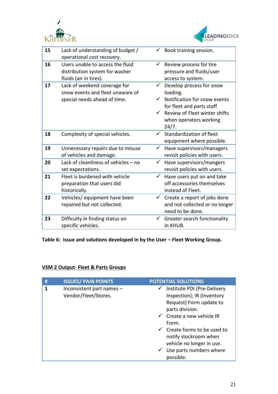



| 15 | Lack of understanding of budget /    |              | Book training session.         |
|----|--------------------------------------|--------------|--------------------------------|
|    | operational cost recovery.           |              |                                |
| 16 | Users unable to access the fluid     |              | Review process for tire        |
|    | distribution system for washer       |              | pressure and fluids/user       |
|    | fluids (air in tires).               |              | access to system.              |
| 17 | Lack of weekend coverage for         | ✓            | Develop process for snow       |
|    | snow events and fleet unaware of     |              | loading.                       |
|    | special needs ahead of time.         |              | Notification for snow events   |
|    |                                      |              | for fleet and parts staff      |
|    |                                      | $\checkmark$ | Review of Fleet winter shifts  |
|    |                                      |              | when operators working         |
|    |                                      |              | 24/7.                          |
| 18 | Complexity of special vehicles.      | $\checkmark$ | Standardization of fleet       |
|    |                                      |              | equipment where possible.      |
|    |                                      | $\checkmark$ |                                |
| 19 | Unnecessary repairs due to misuse    |              | Have supervisors/managers      |
|    | of vehicles and damage.              |              | revisit policies with users.   |
| 20 | Lack of cleanliness of vehicles - no | $\checkmark$ | Have supervisors/mangers       |
|    | set expectations.                    |              | revisit policies with users.   |
| 21 | Fleet is burdened with vehicle       |              | Have users put on and take     |
|    | preparation that users did           |              | off accessories themselves     |
|    | historically.                        |              | instead of Fleet.              |
| 22 | Vehicles/ equipment have been        | $\checkmark$ | Create a report of jobs done   |
|    | repaired but not collected.          |              | and not collected or no longer |
|    |                                      |              | need to be done.               |
| 23 | Difficulty in finding status on      | ✓            | Greater search functionality   |
|    | specific vehicles.                   |              | in KHUB.                       |
|    |                                      |              |                                |

**Table 6: Issue and solutions developed in by the User – Fleet Working Group.**

# **VSM 2 Output- Fleet & Parts Groups**

| # | <b>ISSUES/ PAIN POINTS</b>                        | <b>POTENTIAL SOLUTIONS</b>                                                                                                                                                                                                                                                                                           |
|---|---------------------------------------------------|----------------------------------------------------------------------------------------------------------------------------------------------------------------------------------------------------------------------------------------------------------------------------------------------------------------------|
| 1 | Inconsistent part names -<br>Vendor/Fleet/Stores. | Institute PDI (Pre-Delivery<br>$\checkmark$<br>Inspection); IR (Inventory<br>Request) Form update to<br>parts division.<br>$\checkmark$ Create a new vehicle IR<br>Form.<br>$\checkmark$ Create forms to be used to<br>notify stockroom when<br>vehicle no longer in use.<br>Use parts numbers where<br>$\checkmark$ |
|   |                                                   | possible.                                                                                                                                                                                                                                                                                                            |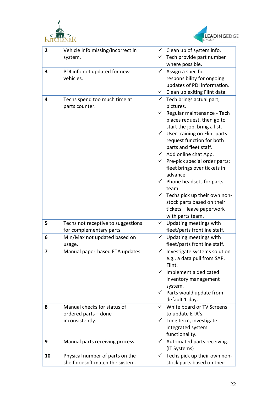



| $\overline{2}$          | Vehicle info missing/incorrect in  |              | $\checkmark$ Clean up of system info.      |
|-------------------------|------------------------------------|--------------|--------------------------------------------|
|                         | system.                            |              | Tech provide part number                   |
|                         |                                    |              | where possible.                            |
| 3                       | PDI info not updated for new       | ✓            | Assign a specific                          |
|                         | vehicles.                          |              | responsibility for ongoing                 |
|                         |                                    |              | updates of PDI information.                |
|                         |                                    | $\checkmark$ | Clean up exiting Flint data.               |
| 4                       | Techs spend too much time at       |              | Tech brings actual part,                   |
|                         | parts counter.                     |              | pictures.                                  |
|                         |                                    | ✓            | Regular maintenance - Tech                 |
|                         |                                    |              | places request, then go to                 |
|                         |                                    |              | start the job, bring a list.               |
|                         |                                    |              | $\checkmark$ User training on Flint parts  |
|                         |                                    |              | request function for both                  |
|                         |                                    |              | parts and fleet staff.                     |
|                         |                                    |              | $\checkmark$ Add online chat App.          |
|                         |                                    |              | $\checkmark$ Pre-pick special order parts; |
|                         |                                    |              | fleet brings over tickets in               |
|                         |                                    |              | advance.                                   |
|                         |                                    |              | $\checkmark$ Phone headsets for parts      |
|                         |                                    |              | team.                                      |
|                         |                                    | $\checkmark$ | Techs pick up their own non-               |
|                         |                                    |              | stock parts based on their                 |
|                         |                                    |              | tickets - leave paperwork                  |
|                         |                                    |              | with parts team.                           |
| 5                       | Techs not receptive to suggestions |              | Updating meetings with                     |
|                         | for complementary parts.           |              | fleet/parts frontline staff.               |
| 6                       | Min/Max not updated based on       | ✓            | Updating meetings with                     |
|                         | usage.                             |              | fleet/parts frontline staff.               |
| $\overline{\mathbf{z}}$ | Manual paper-based ETA updates.    |              | $\checkmark$ Investigate systems solution  |
|                         |                                    |              | e.g., a data pull from SAP,                |
|                         |                                    |              | Flint.                                     |
|                         |                                    |              | $\checkmark$ Implement a dedicated         |
|                         |                                    |              | inventory management                       |
|                         |                                    |              | system.                                    |
|                         |                                    |              | $\checkmark$ Parts would update from       |
|                         |                                    |              | default 1-day.                             |
| 8                       | Manual checks for status of        |              | White board or TV Screens                  |
|                         | ordered parts - done               |              | to update ETA's.                           |
|                         | inconsistently.                    |              | Long term, investigate                     |
|                         |                                    |              | integrated system                          |
|                         |                                    |              | functionality.                             |
| 9                       |                                    | $\checkmark$ |                                            |
|                         | Manual parts receiving process.    |              | Automated parts receiving.                 |
|                         |                                    |              | (IT Systems)                               |
| 10                      | Physical number of parts on the    | $\checkmark$ | Techs pick up their own non-               |
|                         | shelf doesn't match the system.    |              | stock parts based on their                 |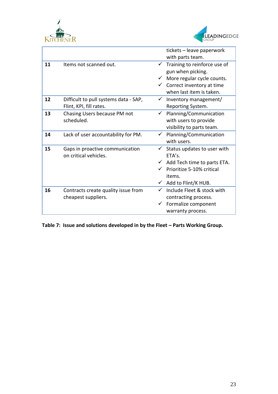



|    |                                       |              | tickets - leave paperwork                |
|----|---------------------------------------|--------------|------------------------------------------|
|    |                                       |              | with parts team.                         |
| 11 | Items not scanned out.                | $\checkmark$ | Training to reinforce use of             |
|    |                                       |              | gun when picking.                        |
|    |                                       |              | $\checkmark$ More regular cycle counts.  |
|    |                                       |              | $\checkmark$ Correct inventory at time   |
|    |                                       |              | when last item is taken.                 |
| 12 | Difficult to pull systems data - SAP, | $\checkmark$ | Inventory management/                    |
|    | Flint, KPI, fill rates.               |              | Reporting System.                        |
| 13 | Chasing Users because PM not          | $\checkmark$ | Planning/Communication                   |
|    | scheduled.                            |              | with users to provide                    |
|    |                                       |              | visibility to parts team.                |
| 14 | Lack of user accountability for PM.   |              | $\checkmark$ Planning/Communication      |
|    |                                       |              | with users.                              |
| 15 | Gaps in proactive communication       | $\checkmark$ | Status updates to user with              |
|    | on critical vehicles.                 |              | ETA's.                                   |
|    |                                       |              | $\checkmark$ Add Tech time to parts ETA. |
|    |                                       |              | Prioritize 5-10% critical                |
|    |                                       |              | items.                                   |
|    |                                       | ✓            | Add to Flint/K HUB.                      |
| 16 | Contracts create quality issue from   | $\checkmark$ | Include Fleet & stock with               |
|    | cheapest suppliers.                   |              | contracting process.                     |
|    |                                       |              | Formalize component                      |
|    |                                       |              | warranty process.                        |

**Table 7: Issue and solutions developed in by the Fleet – Parts Working Group.**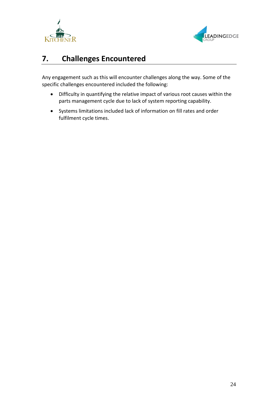



# <span id="page-24-0"></span>**7. Challenges Encountered**

Any engagement such as this will encounter challenges along the way. Some of the specific challenges encountered included the following:

- Difficulty in quantifying the relative impact of various root causes within the parts management cycle due to lack of system reporting capability.
- Systems limitations included lack of information on fill rates and order fulfilment cycle times.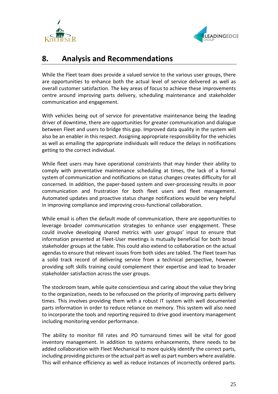



# <span id="page-25-0"></span>**8. Analysis and Recommendations**

While the Fleet team does provide a valued service to the various user groups, there are opportunities to enhance both the actual level of service delivered as well as overall customer satisfaction. The key areas of focus to achieve these improvements centre around improving parts delivery, scheduling maintenance and stakeholder communication and engagement.

With vehicles being out of service for preventative maintenance being the leading driver of downtime, there are opportunities for greater communication and dialogue between Fleet and users to bridge this gap. Improved data quality in the system will also be an enabler in this respect. Assigning appropriate responsibility for the vehicles as well as emailing the appropriate individuals will reduce the delays in notifications getting to the correct individual.

While fleet users may have operational constraints that may hinder their ability to comply with preventative maintenance scheduling at times, the lack of a formal system of communication and notifications on status changes creates difficulty for all concerned. In addition, the paper-based system and over-processing results in poor communication and frustration for both fleet users and fleet management. Automated updates and proactive status change notifications would be very helpful in improving compliance and improving cross-functional collaboration.

While email is often the default mode of communication, there are opportunities to leverage broader communication strategies to enhance user engagement. These could involve developing shared metrics with user groups' input to ensure that information presented at Fleet-User meetings is mutually beneficial for both broad stakeholder groups at the table. This could also extend to collaboration on the actual agendas to ensure that relevant issues from both sides are tabled. The Fleet team has a solid track record of delivering service from a technical perspective, however providing soft skills training could complement their expertise and lead to broader stakeholder satisfaction across the user groups.

The stockroom team, while quite conscientious and caring about the value they bring to the organization, needs to be refocused on the priority of improving parts delivery times. This involves providing them with a robust IT system with well documented parts information in order to reduce reliance on memory. This system will also need to incorporate the tools and reporting required to drive good inventory management including monitoring vendor performance.

The ability to monitor fill rates and PO turnaround times will be vital for good inventory management. In addition to systems enhancements, there needs to be added collaboration with Fleet Mechanical to more quickly identify the correct parts, including providing pictures or the actual part as well as part numbers where available. This will enhance efficiency as well as reduce instances of incorrectly ordered parts.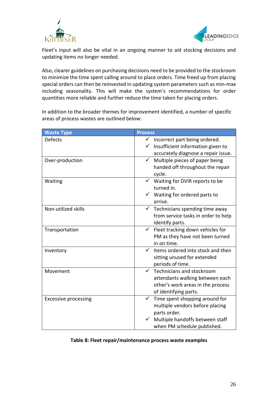



Fleet's input will also be vital in an ongoing manner to aid stocking decisions and updating items no longer needed.

Also, clearer guidelines on purchasing decisions need to be provided to the stockroom to minimize the time spent calling around to place orders. Time freed up from placing special orders can then be reinvested in updating system parameters such as min-max including seasonality. This will make the system's recommendations for order quantities more reliable and further reduce the time taken for placing orders.

In addition to the broader themes for improvement identified, a number of specific areas of process wastes are outlined below:

| <b>Waste Type</b>           | <b>Process</b>                                   |
|-----------------------------|--------------------------------------------------|
| <b>Defects</b>              | $\checkmark$<br>Incorrect part being ordered.    |
|                             | Insufficient information given to<br>✓           |
|                             | accurately diagnose a repair issue.              |
| Over-production             | Multiple pieces of paper being<br>$\checkmark$   |
|                             | handed off throughout the repair<br>cycle.       |
| Waiting                     | $\checkmark$ Waiting for DVIR reports to be      |
|                             | turned in.                                       |
|                             | Waiting for ordered parts to                     |
|                             | arrive.                                          |
| Non-utilized skills         | $\checkmark$ Technicians spending time away      |
|                             | from service tasks in order to help              |
|                             | identify parts.                                  |
| Transportation              | Fleet tracking down vehicles for<br>$\checkmark$ |
|                             | PM as they have not been turned                  |
|                             | in on time.                                      |
| Inventory                   | Items ordered into stock and then                |
|                             | sitting unused for extended                      |
|                             | periods of time.                                 |
| Movement                    | $\checkmark$ Technicians and stockroom           |
|                             | attendants walking between each                  |
|                             | other's work areas in the process                |
|                             | of identifying parts.                            |
| <b>Excessive processing</b> | $\checkmark$<br>Time spent shopping around for   |
|                             | multiple vendors before placing                  |
|                             | parts order.                                     |
|                             | Multiple handoffs between staff                  |
|                             | when PM schedule published.                      |

## **Table 8: Fleet repair/maintenance process waste examples**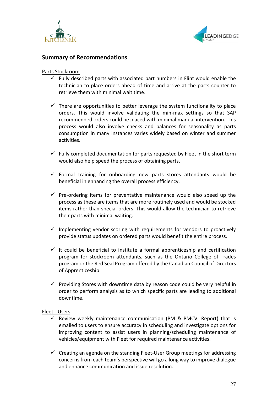



# **Summary of Recommendations**

## Parts Stockroom

- $\checkmark$  Fully described parts with associated part numbers in Flint would enable the technician to place orders ahead of time and arrive at the parts counter to retrieve them with minimal wait time.
- $\checkmark$  There are opportunities to better leverage the system functionality to place orders. This would involve validating the min-max settings so that SAP recommended orders could be placed with minimal manual intervention. This process would also involve checks and balances for seasonality as parts consumption in many instances varies widely based on winter and summer activities.
- $\checkmark$  Fully completed documentation for parts requested by Fleet in the short term would also help speed the process of obtaining parts.
- $\checkmark$  Formal training for onboarding new parts stores attendants would be beneficial in enhancing the overall process efficiency.
- $\checkmark$  Pre-ordering items for preventative maintenance would also speed up the process as these are items that are more routinely used and would be stocked items rather than special orders. This would allow the technician to retrieve their parts with minimal waiting.
- $\checkmark$  Implementing vendor scoring with requirements for vendors to proactively provide status updates on ordered parts would benefit the entire process.
- $\checkmark$  It could be beneficial to institute a formal apprenticeship and certification program for stockroom attendants, such as the Ontario College of Trades program or the Red Seal Program offered by the Canadian Council of Directors of Apprenticeship.
- $\checkmark$  Providing Stores with downtime data by reason code could be very helpful in order to perform analysis as to which specific parts are leading to additional downtime.

## Fleet - Users

- Review weekly maintenance communication (PM & PMCVI Report) that is emailed to users to ensure accuracy in scheduling and investigate options for improving content to assist users in planning/scheduling maintenance of vehicles/equipment with Fleet for required maintenance activities.
- $\checkmark$  Creating an agenda on the standing Fleet-User Group meetings for addressing concerns from each team's perspective will go a long way to improve dialogue and enhance communication and issue resolution.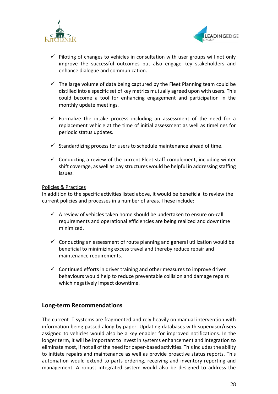



- $\checkmark$  Piloting of changes to vehicles in consultation with user groups will not only improve the successful outcomes but also engage key stakeholders and enhance dialogue and communication.
- $\checkmark$  The large volume of data being captured by the Fleet Planning team could be distilled into a specific set of key metrics mutually agreed upon with users. This could become a tool for enhancing engagement and participation in the monthly update meetings.
- $\checkmark$  Formalize the intake process including an assessment of the need for a replacement vehicle at the time of initial assessment as well as timelines for periodic status updates.
- $\checkmark$  Standardizing process for users to schedule maintenance ahead of time.
- $\checkmark$  Conducting a review of the current Fleet staff complement, including winter shift coverage, as well as pay structures would be helpful in addressing staffing issues.

## Policies & Practices

In addition to the specific activities listed above, it would be beneficial to review the current policies and processes in a number of areas. These include:

- $\checkmark$  A review of vehicles taken home should be undertaken to ensure on-call requirements and operational efficiencies are being realized and downtime minimized.
- $\checkmark$  Conducting an assessment of route planning and general utilization would be beneficial to minimizing excess travel and thereby reduce repair and maintenance requirements.
- $\checkmark$  Continued efforts in driver training and other measures to improve driver behaviours would help to reduce preventable collision and damage repairs which negatively impact downtime.

# **Long-term Recommendations**

The current IT systems are fragmented and rely heavily on manual intervention with information being passed along by paper. Updating databases with supervisor/users assigned to vehicles would also be a key enabler for improved notifications. In the longer term, it will be important to invest in systems enhancement and integration to eliminate most, if not all of the need for paper-based activities. This includes the ability to initiate repairs and maintenance as well as provide proactive status reports. This automation would extend to parts ordering, receiving and inventory reporting and management. A robust integrated system would also be designed to address the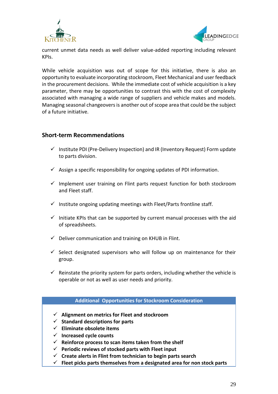



current unmet data needs as well deliver value-added reporting including relevant KPIs.

While vehicle acquisition was out of scope for this initiative, there is also an opportunity to evaluate incorporating stockroom, Fleet Mechanical and user feedback in the procurement decisions. While the immediate cost of vehicle acquisition is a key parameter, there may be opportunities to contrast this with the cost of complexity associated with managing a wide range of suppliers and vehicle makes and models. Managing seasonal changeovers is another out of scope area that could be the subject of a future initiative.

# **Short-term Recommendations**

- $\checkmark$  Institute PDI (Pre-Delivery Inspection) and IR (Inventory Request) Form update to parts division.
- $\checkmark$  Assign a specific responsibility for ongoing updates of PDI information.
- $\checkmark$  Implement user training on Flint parts request function for both stockroom and Fleet staff.
- $\checkmark$  Institute ongoing updating meetings with Fleet/Parts frontline staff.
- $\checkmark$  Initiate KPIs that can be supported by current manual processes with the aid of spreadsheets.
- $\checkmark$  Deliver communication and training on KHUB in Flint.
- $\checkmark$  Select designated supervisors who will follow up on maintenance for their group.
- $\checkmark$  Reinstate the priority system for parts orders, including whether the vehicle is operable or not as well as user needs and priority.

## **Additional Opportunities for Stockroom Consideration**

- ✓ **Alignment on metrics for Fleet and stockroom**
- ✓ **Standard descriptions for parts**
- ✓ **Eliminate obsolete items**
- ✓ **Increased cycle counts**
- ✓ **Reinforce process to scan items taken from the shelf**
- ✓ **Periodic reviews of stocked parts with Fleet input**
- ✓ **Create alerts in Flint from technician to begin parts search**
- ✓ **Fleet picks parts themselves from a designated area for non stock parts**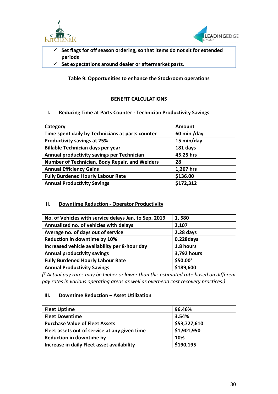



- ✓ **Set flags for off season ordering, so that items do not sit for extended periods**
- ✓ **Set expectations around dealer or aftermarket parts.**

**Table 9: Opportunities to enhance the Stockroom operations**

# **BENEFIT CALCULATIONS**

## **I. Reducing Time at Parts Counter - Technician Productivity Savings**

| Category                                         | <b>Amount</b> |
|--------------------------------------------------|---------------|
| Time spent daily by Technicians at parts counter | 60 min /day   |
| <b>Productivity savings at 25%</b>               | 15 min/day    |
| Billable Technician days per year                | 181 days      |
| Annual productivity savings per Technician       | 45.25 hrs     |
| Number of Technician, Body Repair, and Welders   | 28            |
| <b>Annual Efficiency Gains</b>                   | 1,267 hrs     |
| <b>Fully Burdened Hourly Labour Rate</b>         | \$136.00      |
| <b>Annual Productivity Savings</b>               | \$172,312     |
|                                                  |               |

## **II. Downtime Reduction - Operator Productivity**

| No. of Vehicles with service delays Jan. to Sep. 2019 | 1,580       |
|-------------------------------------------------------|-------------|
| Annualized no. of vehicles with delays                | 2,107       |
| Average no. of days out of service                    | $2.28$ days |
| Reduction in downtime by 10%                          | 0.228days   |
| Increased vehicle availability per 8-hour day         | 1.8 hours   |
| <b>Annual productivity savings</b>                    | 3,792 hours |
| <b>Fully Burdened Hourly Labour Rate</b>              | $$50.00^2$  |
| <b>Annual Productivity Savings</b>                    | \$189,600   |

*( <sup>2</sup> Actual pay rates may be higher or lower than this estimated rate based on different pay rates in various operating areas as well as overhead cost recovery practices.)*

## **III.** Downtime Reduction – Asset Utilization

| <b>Fleet Uptime</b>                           | 96.46%       |
|-----------------------------------------------|--------------|
| <b>Fleet Downtime</b>                         | 3.54%        |
| <b>Purchase Value of Fleet Assets</b>         | \$53,727,610 |
| Fleet assets out of service at any given time | \$1,901,950  |
| <b>Reduction in downtime by</b>               | 10%          |
| Increase in daily Fleet asset availability    | \$190,195    |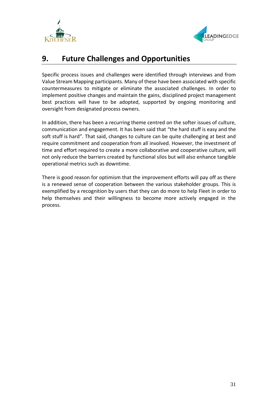



# <span id="page-31-0"></span>**9. Future Challenges and Opportunities**

Specific process issues and challenges were identified through interviews and from Value Stream Mapping participants. Many of these have been associated with specific countermeasures to mitigate or eliminate the associated challenges. In order to implement positive changes and maintain the gains, disciplined project management best practices will have to be adopted, supported by ongoing monitoring and oversight from designated process owners.

In addition, there has been a recurring theme centred on the softer issues of culture, communication and engagement. It has been said that "the hard stuff is easy and the soft stuff is hard". That said, changes to culture can be quite challenging at best and require commitment and cooperation from all involved. However, the investment of time and effort required to create a more collaborative and cooperative culture, will not only reduce the barriers created by functional silos but will also enhance tangible operational metrics such as downtime.

There is good reason for optimism that the improvement efforts will pay off as there is a renewed sense of cooperation between the various stakeholder groups. This is exemplified by a recognition by users that they can do more to help Fleet in order to help themselves and their willingness to become more actively engaged in the process.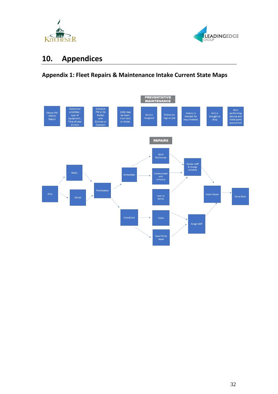



# <span id="page-32-0"></span>**10. Appendices**

# **Appendix 1: Fleet Repairs & Maintenance Intake Current State Maps**

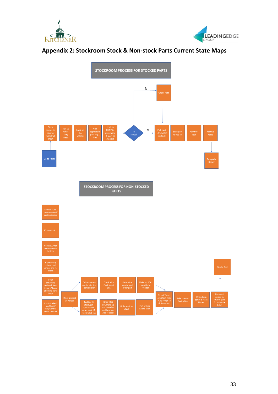



# **Appendix 2: Stockroom Stock & Non-stock Parts Current State Maps**

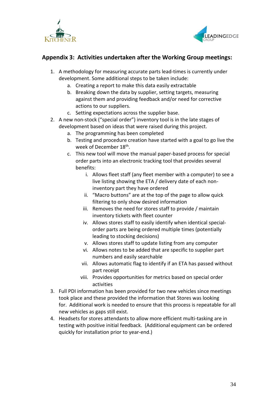



# **Appendix 3: Activities undertaken after the Working Group meetings:**

- 1. A methodology for measuring accurate parts lead-times is currently under development. Some additional steps to be taken include:
	- a. Creating a report to make this data easily extractable
	- b. Breaking down the data by supplier, setting targets, measuring against them and providing feedback and/or need for corrective actions to our suppliers.
	- c. Setting expectations across the supplier base.
- 2. A new non-stock ("special order") inventory tool is in the late stages of development based on ideas that were raised during this project.
	- a. The programming has been completed
	- b. Testing and procedure creation have started with a goal to go live the week of December 18<sup>th</sup>.
	- c. This new tool will move the manual paper-based process for special order parts into an electronic tracking tool that provides several benefits:
		- i. Allows fleet staff (any fleet member with a computer) to see a live listing showing the ETA / delivery date of each noninventory part they have ordered
		- ii. "Macro buttons" are at the top of the page to allow quick filtering to only show desired information
		- iii. Removes the need for stores staff to provide / maintain inventory tickets with fleet counter
		- iv. Allows stores staff to easily identify when identical specialorder parts are being ordered multiple times (potentially leading to stocking decisions)
		- v. Allows stores staff to update listing from any computer
		- vi. Allows notes to be added that are specific to supplier part numbers and easily searchable
		- vii. Allows automatic flag to identify if an ETA has passed without part receipt
		- viii. Provides opportunities for metrics based on special order activities
- 3. Full PDI information has been provided for two new vehicles since meetings took place and these provided the information that Stores was looking for. Additional work is needed to ensure that this process is repeatable for all new vehicles as gaps still exist.
- 4. Headsets for stores attendants to allow more efficient multi-tasking are in testing with positive initial feedback. (Additional equipment can be ordered quickly for installation prior to year-end.)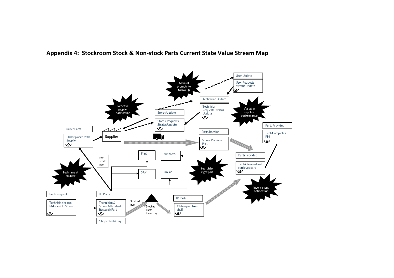

**Appendix 4: Stockroom Stock & Non-stock Parts Current State Value Stream Map**